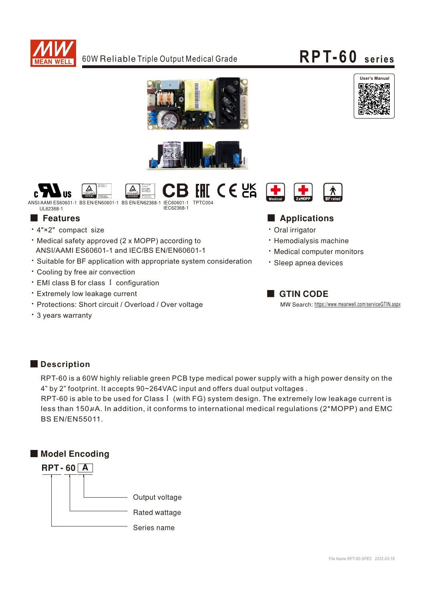

# **RPT-60 seri es**









## ■ Features ■ Particular and Particular and Particular and Particular and Particular and Particular and Particular and Particular and Particular and Particular and Particular and Particular and Particular and Particular an

- · Oral irrigator
- · Hemodialysis machine
- Medical computer monitors
- · Sleep apnea devices

## **GTIN CODE**

MW Search: https://www.meanwell.com/serviceGTIN.aspx

 ANSI/AAMI ES60601-1 and IEC/BS EN/EN60601-1 ‧Suitable for BF application with appropriate system consideration

‧4"×2" compact size

- ‧Cooling by free air convection
- ‧EMI class B for class Ⅰ configuration
- ‧Extremely low leakage current
- ‧Protections: Short circuit / Overload / Over voltage

 $\cdot$  Medical safety approved (2 x MOPP) according to

‧3 years warranty

### **Description**

RPT-60 is a 60W highly reliable green PCB type medical power supply with a high power density on the 4" by 2" footprint. It accepts 90~264VAC input and offers dual output voltages .

less than 150 $\mu$ A. In addition, it conforms to international medical regulations (2\*MOPP) and EMC RPT-60 is able to be used for Class I (with FG) system design. The extremely low leakage current is BS EN/EN55011.



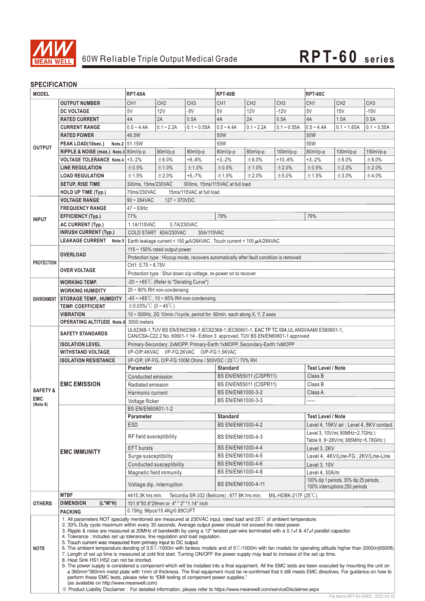

### **SPECIFICATION**

| <b>MODEL</b>                                    |                                                                                                                                                                                                                                                                                                                                                                                                                                                                                                                                                                                                                                                                                                                                                                                                                                                                                                                                                                                                                                                                                                                                                                                                                                                                                                                                                                           | <b>RPT-60A</b>                                                                                     |                                                      |                          | <b>RPT-60B</b>                                                                         |                 |                 | <b>RPT-60C</b>                                                            |                                     |                 |  |  |
|-------------------------------------------------|---------------------------------------------------------------------------------------------------------------------------------------------------------------------------------------------------------------------------------------------------------------------------------------------------------------------------------------------------------------------------------------------------------------------------------------------------------------------------------------------------------------------------------------------------------------------------------------------------------------------------------------------------------------------------------------------------------------------------------------------------------------------------------------------------------------------------------------------------------------------------------------------------------------------------------------------------------------------------------------------------------------------------------------------------------------------------------------------------------------------------------------------------------------------------------------------------------------------------------------------------------------------------------------------------------------------------------------------------------------------------|----------------------------------------------------------------------------------------------------|------------------------------------------------------|--------------------------|----------------------------------------------------------------------------------------|-----------------|-----------------|---------------------------------------------------------------------------|-------------------------------------|-----------------|--|--|
|                                                 | <b>OUTPUT NUMBER</b>                                                                                                                                                                                                                                                                                                                                                                                                                                                                                                                                                                                                                                                                                                                                                                                                                                                                                                                                                                                                                                                                                                                                                                                                                                                                                                                                                      | CH <sub>1</sub>                                                                                    | CH <sub>2</sub>                                      | CH <sub>3</sub>          | CH <sub>1</sub>                                                                        | CH <sub>2</sub> | CH <sub>3</sub> | CH <sub>1</sub>                                                           | CH <sub>2</sub>                     | CH <sub>3</sub> |  |  |
|                                                 | <b>DC VOLTAGE</b>                                                                                                                                                                                                                                                                                                                                                                                                                                                                                                                                                                                                                                                                                                                                                                                                                                                                                                                                                                                                                                                                                                                                                                                                                                                                                                                                                         | 5V                                                                                                 | 12V                                                  | $-5V$                    | 5V                                                                                     | 12V             | $-12V$          | 5V                                                                        | 15V                                 | $-15V$          |  |  |
|                                                 | <b>RATED CURRENT</b>                                                                                                                                                                                                                                                                                                                                                                                                                                                                                                                                                                                                                                                                                                                                                                                                                                                                                                                                                                                                                                                                                                                                                                                                                                                                                                                                                      | 4A                                                                                                 | 2A                                                   | 0.5A                     | 4A                                                                                     | 2A              | 0.5A            | 4A                                                                        | 1.5A                                | 0.5A            |  |  |
|                                                 | <b>CURRENT RANGE</b>                                                                                                                                                                                                                                                                                                                                                                                                                                                                                                                                                                                                                                                                                                                                                                                                                                                                                                                                                                                                                                                                                                                                                                                                                                                                                                                                                      | $0.5 - 4.4A$                                                                                       | $0.1 - 2.2A$                                         | $0.1 - 0.55A$            | $0.5 - 4.4A$                                                                           | $0.1 - 2.2A$    | $0.1 - 0.55A$   | $0.5 - 4.4A$                                                              | $0.1 - 1.65A$                       | $0.1 - 0.55A$   |  |  |
|                                                 | <b>RATED POWER</b>                                                                                                                                                                                                                                                                                                                                                                                                                                                                                                                                                                                                                                                                                                                                                                                                                                                                                                                                                                                                                                                                                                                                                                                                                                                                                                                                                        | 46.5W                                                                                              |                                                      |                          | 50W                                                                                    |                 |                 | 50W                                                                       |                                     |                 |  |  |
|                                                 | PEAK LOAD(10sec.)                                                                                                                                                                                                                                                                                                                                                                                                                                                                                                                                                                                                                                                                                                                                                                                                                                                                                                                                                                                                                                                                                                                                                                                                                                                                                                                                                         | Note.2 51.15W                                                                                      |                                                      |                          | 55W                                                                                    |                 |                 | 55W                                                                       |                                     |                 |  |  |
| <b>OUTPUT</b>                                   | RIPPLE & NOISE (max.) Note.3 80mVp-p                                                                                                                                                                                                                                                                                                                                                                                                                                                                                                                                                                                                                                                                                                                                                                                                                                                                                                                                                                                                                                                                                                                                                                                                                                                                                                                                      | 80mVp-p<br>80mVp-p                                                                                 |                                                      |                          | 80mVp-p                                                                                | 80mVp-p         | 100mVp-p        | 80mVp-p                                                                   | 100mVp-p                            | 150mVp-p        |  |  |
|                                                 | VOLTAGE TOLERANCE Note.4   +3,-2%                                                                                                                                                                                                                                                                                                                                                                                                                                                                                                                                                                                                                                                                                                                                                                                                                                                                                                                                                                                                                                                                                                                                                                                                                                                                                                                                         |                                                                                                    | ±6.0%                                                | $+9,-8%$                 | $+3,-2%$                                                                               | ± 6.0%          | +10,-6%         | $+3,-2%$                                                                  | ± 6.0%                              | ±8.0%           |  |  |
|                                                 | <b>LINE REGULATION</b>                                                                                                                                                                                                                                                                                                                                                                                                                                                                                                                                                                                                                                                                                                                                                                                                                                                                                                                                                                                                                                                                                                                                                                                                                                                                                                                                                    | ±0.5%                                                                                              | ±1.0%                                                | ±1.0%                    | ±0.5%                                                                                  | ±1.0%           | ±2.0%           | ±0.5%                                                                     | ±2.0%                               | ±2.0%           |  |  |
|                                                 | <b>LOAD REGULATION</b>                                                                                                                                                                                                                                                                                                                                                                                                                                                                                                                                                                                                                                                                                                                                                                                                                                                                                                                                                                                                                                                                                                                                                                                                                                                                                                                                                    | ±1.5%                                                                                              | ±2.0%                                                | $+5,-7%$                 | ±1.5%                                                                                  | ±2.0%           | ±5.0%           | ±1.5%                                                                     | ±3.0%                               | ±4.0%           |  |  |
|                                                 | <b>SETUP, RISE TIME</b>                                                                                                                                                                                                                                                                                                                                                                                                                                                                                                                                                                                                                                                                                                                                                                                                                                                                                                                                                                                                                                                                                                                                                                                                                                                                                                                                                   | 300ms, 15ms/230VAC                                                                                 |                                                      |                          | 300ms, 15ms/115VAC at full load                                                        |                 |                 |                                                                           |                                     |                 |  |  |
|                                                 | <b>HOLD UP TIME (Typ.)</b>                                                                                                                                                                                                                                                                                                                                                                                                                                                                                                                                                                                                                                                                                                                                                                                                                                                                                                                                                                                                                                                                                                                                                                                                                                                                                                                                                | 70ms/230VAC                                                                                        |                                                      | 15ms/115VAC at full load |                                                                                        |                 |                 |                                                                           |                                     |                 |  |  |
|                                                 | <b>VOLTAGE RANGE</b>                                                                                                                                                                                                                                                                                                                                                                                                                                                                                                                                                                                                                                                                                                                                                                                                                                                                                                                                                                                                                                                                                                                                                                                                                                                                                                                                                      | $90 \sim 264$ VAC                                                                                  | $127 - 370VDC$                                       |                          |                                                                                        |                 |                 |                                                                           |                                     |                 |  |  |
|                                                 | <b>FREQUENCY RANGE</b>                                                                                                                                                                                                                                                                                                                                                                                                                                                                                                                                                                                                                                                                                                                                                                                                                                                                                                                                                                                                                                                                                                                                                                                                                                                                                                                                                    | $47 \sim 63$ Hz                                                                                    |                                                      |                          |                                                                                        |                 |                 |                                                                           |                                     |                 |  |  |
|                                                 | EFFICIENCY (Typ.)                                                                                                                                                                                                                                                                                                                                                                                                                                                                                                                                                                                                                                                                                                                                                                                                                                                                                                                                                                                                                                                                                                                                                                                                                                                                                                                                                         |                                                                                                    | 77%<br>78%<br>79%                                    |                          |                                                                                        |                 |                 |                                                                           |                                     |                 |  |  |
| <b>INPUT</b>                                    | <b>AC CURRENT (Typ.)</b>                                                                                                                                                                                                                                                                                                                                                                                                                                                                                                                                                                                                                                                                                                                                                                                                                                                                                                                                                                                                                                                                                                                                                                                                                                                                                                                                                  | 1.1A/115VAC<br>0.7A/230VAC                                                                         |                                                      |                          |                                                                                        |                 |                 |                                                                           |                                     |                 |  |  |
|                                                 | <b>INRUSH CURRENT (Typ.)</b>                                                                                                                                                                                                                                                                                                                                                                                                                                                                                                                                                                                                                                                                                                                                                                                                                                                                                                                                                                                                                                                                                                                                                                                                                                                                                                                                              |                                                                                                    | COLD START 60A/230VAC<br>30A/115VAC                  |                          |                                                                                        |                 |                 |                                                                           |                                     |                 |  |  |
|                                                 | <b>LEAKAGE CURRENT</b><br>Note.5                                                                                                                                                                                                                                                                                                                                                                                                                                                                                                                                                                                                                                                                                                                                                                                                                                                                                                                                                                                                                                                                                                                                                                                                                                                                                                                                          |                                                                                                    |                                                      |                          | Earth leakage current < 150 $\mu$ A/264VAC, Touch current < 100 $\mu$ A/264VAC         |                 |                 |                                                                           |                                     |                 |  |  |
|                                                 |                                                                                                                                                                                                                                                                                                                                                                                                                                                                                                                                                                                                                                                                                                                                                                                                                                                                                                                                                                                                                                                                                                                                                                                                                                                                                                                                                                           |                                                                                                    | 115 $\sim$ 150% rated output power                   |                          |                                                                                        |                 |                 |                                                                           |                                     |                 |  |  |
|                                                 | <b>OVERLOAD</b>                                                                                                                                                                                                                                                                                                                                                                                                                                                                                                                                                                                                                                                                                                                                                                                                                                                                                                                                                                                                                                                                                                                                                                                                                                                                                                                                                           |                                                                                                    |                                                      |                          | Protection type : Hiccup mode, recovers automatically after fault condition is removed |                 |                 |                                                                           |                                     |                 |  |  |
| <b>PROTECTION</b>                               |                                                                                                                                                                                                                                                                                                                                                                                                                                                                                                                                                                                                                                                                                                                                                                                                                                                                                                                                                                                                                                                                                                                                                                                                                                                                                                                                                                           | $CH1: 5.75 - 6.75V$                                                                                |                                                      |                          |                                                                                        |                 |                 |                                                                           |                                     |                 |  |  |
|                                                 | <b>OVER VOLTAGE</b>                                                                                                                                                                                                                                                                                                                                                                                                                                                                                                                                                                                                                                                                                                                                                                                                                                                                                                                                                                                                                                                                                                                                                                                                                                                                                                                                                       |                                                                                                    |                                                      |                          | Protection type: Shut down o/p voltage, re-power on to recover                         |                 |                 |                                                                           |                                     |                 |  |  |
|                                                 | <b>WORKING TEMP.</b>                                                                                                                                                                                                                                                                                                                                                                                                                                                                                                                                                                                                                                                                                                                                                                                                                                                                                                                                                                                                                                                                                                                                                                                                                                                                                                                                                      |                                                                                                    | $-20 \sim +65^{\circ}$ C (Refer to "Derating Curve") |                          |                                                                                        |                 |                 |                                                                           |                                     |                 |  |  |
|                                                 | <b>WORKING HUMIDITY</b>                                                                                                                                                                                                                                                                                                                                                                                                                                                                                                                                                                                                                                                                                                                                                                                                                                                                                                                                                                                                                                                                                                                                                                                                                                                                                                                                                   |                                                                                                    | 20 ~ 90% RH non-condensing                           |                          |                                                                                        |                 |                 |                                                                           |                                     |                 |  |  |
| <b>ENVIRONMENT</b>                              | <b>STORAGE TEMP., HUMIDITY</b>                                                                                                                                                                                                                                                                                                                                                                                                                                                                                                                                                                                                                                                                                                                                                                                                                                                                                                                                                                                                                                                                                                                                                                                                                                                                                                                                            |                                                                                                    | $-40 \sim +85^{\circ}$ C, 10 ~ 95% RH non-condensing |                          |                                                                                        |                 |                 |                                                                           |                                     |                 |  |  |
|                                                 | <b>TEMP. COEFFICIENT</b>                                                                                                                                                                                                                                                                                                                                                                                                                                                                                                                                                                                                                                                                                                                                                                                                                                                                                                                                                                                                                                                                                                                                                                                                                                                                                                                                                  | $\pm$ 0.03%/°C (0~45°C)                                                                            |                                                      |                          |                                                                                        |                 |                 |                                                                           |                                     |                 |  |  |
|                                                 | <b>VIBRATION</b>                                                                                                                                                                                                                                                                                                                                                                                                                                                                                                                                                                                                                                                                                                                                                                                                                                                                                                                                                                                                                                                                                                                                                                                                                                                                                                                                                          |                                                                                                    |                                                      |                          |                                                                                        |                 |                 |                                                                           |                                     |                 |  |  |
|                                                 | <b>OPERATING ALTITUDE Note.6</b> 3000 meters                                                                                                                                                                                                                                                                                                                                                                                                                                                                                                                                                                                                                                                                                                                                                                                                                                                                                                                                                                                                                                                                                                                                                                                                                                                                                                                              | 10 ~ 500Hz, 2G 10min./1cycle, period for 60min. each along X, Y, Z axes                            |                                                      |                          |                                                                                        |                 |                 |                                                                           |                                     |                 |  |  |
|                                                 |                                                                                                                                                                                                                                                                                                                                                                                                                                                                                                                                                                                                                                                                                                                                                                                                                                                                                                                                                                                                                                                                                                                                                                                                                                                                                                                                                                           | UL62368-1, TUV BS EN/EN62368-1, IEC62368-1, IEC60601-1, EAC TP TC 004, UL ANSI/AAMI ES60601-1,     |                                                      |                          |                                                                                        |                 |                 |                                                                           |                                     |                 |  |  |
|                                                 | <b>SAFETY STANDARDS</b>                                                                                                                                                                                                                                                                                                                                                                                                                                                                                                                                                                                                                                                                                                                                                                                                                                                                                                                                                                                                                                                                                                                                                                                                                                                                                                                                                   | CAN/CSA-C22.2 No. 60601-1:14 - Edition 3 approved, TUV BS EN/EN60601-1 approved                    |                                                      |                          |                                                                                        |                 |                 |                                                                           |                                     |                 |  |  |
|                                                 | <b>ISOLATION LEVEL</b>                                                                                                                                                                                                                                                                                                                                                                                                                                                                                                                                                                                                                                                                                                                                                                                                                                                                                                                                                                                                                                                                                                                                                                                                                                                                                                                                                    | Primary-Secondary: 2xMOPP, Primary-Earth:1xMOPP, Secondary-Earth:1xMOPP                            |                                                      |                          |                                                                                        |                 |                 |                                                                           |                                     |                 |  |  |
|                                                 | <b>WITHSTAND VOLTAGE</b>                                                                                                                                                                                                                                                                                                                                                                                                                                                                                                                                                                                                                                                                                                                                                                                                                                                                                                                                                                                                                                                                                                                                                                                                                                                                                                                                                  | I/P-O/P:4KVAC I/P-FG:2KVAC O/P-FG:1.5KVAC                                                          |                                                      |                          |                                                                                        |                 |                 |                                                                           |                                     |                 |  |  |
|                                                 | <b>ISOLATION RESISTANCE</b>                                                                                                                                                                                                                                                                                                                                                                                                                                                                                                                                                                                                                                                                                                                                                                                                                                                                                                                                                                                                                                                                                                                                                                                                                                                                                                                                               | I/P-O/P, I/P-FG, O/P-FG:100M Ohms / 500VDC / 25 °C / 70% RH                                        |                                                      |                          |                                                                                        |                 |                 |                                                                           |                                     |                 |  |  |
|                                                 | <b>EMC EMISSION</b>                                                                                                                                                                                                                                                                                                                                                                                                                                                                                                                                                                                                                                                                                                                                                                                                                                                                                                                                                                                                                                                                                                                                                                                                                                                                                                                                                       | <b>Parameter</b>                                                                                   |                                                      |                          | <b>Standard</b>                                                                        |                 |                 | Test Level / Note                                                         |                                     |                 |  |  |
|                                                 |                                                                                                                                                                                                                                                                                                                                                                                                                                                                                                                                                                                                                                                                                                                                                                                                                                                                                                                                                                                                                                                                                                                                                                                                                                                                                                                                                                           | Conducted emission                                                                                 |                                                      |                          | <b>BS EN/EN55011 (CISPR11)</b>                                                         |                 |                 | Class B                                                                   |                                     |                 |  |  |
| <b>SAFETY&amp;</b>                              |                                                                                                                                                                                                                                                                                                                                                                                                                                                                                                                                                                                                                                                                                                                                                                                                                                                                                                                                                                                                                                                                                                                                                                                                                                                                                                                                                                           | Radiated emission                                                                                  |                                                      |                          | BS EN/EN55011 (CISPR11)                                                                |                 |                 | Class B                                                                   |                                     |                 |  |  |
| <b>EMC</b>                                      |                                                                                                                                                                                                                                                                                                                                                                                                                                                                                                                                                                                                                                                                                                                                                                                                                                                                                                                                                                                                                                                                                                                                                                                                                                                                                                                                                                           | Harmonic current                                                                                   |                                                      |                          | BS EN/EN61000-3-2                                                                      |                 |                 | Class A                                                                   |                                     |                 |  |  |
| (Note 8)                                        |                                                                                                                                                                                                                                                                                                                                                                                                                                                                                                                                                                                                                                                                                                                                                                                                                                                                                                                                                                                                                                                                                                                                                                                                                                                                                                                                                                           | BS EN/EN61000-3-3<br>-----<br>Voltage flicker<br>BS EN/EN60601-1-2                                 |                                                      |                          |                                                                                        |                 |                 |                                                                           |                                     |                 |  |  |
|                                                 | <b>EMC IMMUNITY</b>                                                                                                                                                                                                                                                                                                                                                                                                                                                                                                                                                                                                                                                                                                                                                                                                                                                                                                                                                                                                                                                                                                                                                                                                                                                                                                                                                       | <b>Standard</b><br>Parameter                                                                       |                                                      |                          |                                                                                        |                 |                 | <b>Test Level / Note</b>                                                  |                                     |                 |  |  |
|                                                 |                                                                                                                                                                                                                                                                                                                                                                                                                                                                                                                                                                                                                                                                                                                                                                                                                                                                                                                                                                                                                                                                                                                                                                                                                                                                                                                                                                           | <b>ESD</b>                                                                                         |                                                      |                          |                                                                                        |                 |                 |                                                                           |                                     |                 |  |  |
|                                                 |                                                                                                                                                                                                                                                                                                                                                                                                                                                                                                                                                                                                                                                                                                                                                                                                                                                                                                                                                                                                                                                                                                                                                                                                                                                                                                                                                                           |                                                                                                    |                                                      |                          | BS EN/EN61000-4-2                                                                      |                 |                 | Level 4, 15KV air ; Level 4, 8KV contact<br>Level 3, 10V/m(80MHz~2.7GHz)  |                                     |                 |  |  |
|                                                 |                                                                                                                                                                                                                                                                                                                                                                                                                                                                                                                                                                                                                                                                                                                                                                                                                                                                                                                                                                                                                                                                                                                                                                                                                                                                                                                                                                           | RF field susceptibility                                                                            |                                                      |                          | BS EN/EN61000-4-3                                                                      |                 |                 | Table 9, 9~28V/m(385MHz~5.78GHz)                                          |                                     |                 |  |  |
|                                                 |                                                                                                                                                                                                                                                                                                                                                                                                                                                                                                                                                                                                                                                                                                                                                                                                                                                                                                                                                                                                                                                                                                                                                                                                                                                                                                                                                                           | <b>EFT</b> bursts                                                                                  |                                                      |                          | BS EN/EN61000-4-4                                                                      |                 |                 | Level 3, 2KV                                                              |                                     |                 |  |  |
|                                                 |                                                                                                                                                                                                                                                                                                                                                                                                                                                                                                                                                                                                                                                                                                                                                                                                                                                                                                                                                                                                                                                                                                                                                                                                                                                                                                                                                                           | Surge susceptibility                                                                               |                                                      |                          | BS EN/EN61000-4-5                                                                      |                 |                 |                                                                           | Level 4, 4KV/Line-FG; 2KV/Line-Line |                 |  |  |
|                                                 |                                                                                                                                                                                                                                                                                                                                                                                                                                                                                                                                                                                                                                                                                                                                                                                                                                                                                                                                                                                                                                                                                                                                                                                                                                                                                                                                                                           | Conducted susceptibility                                                                           |                                                      |                          | BS EN/EN61000-4-6                                                                      |                 |                 | Level 3, 10V                                                              |                                     |                 |  |  |
|                                                 |                                                                                                                                                                                                                                                                                                                                                                                                                                                                                                                                                                                                                                                                                                                                                                                                                                                                                                                                                                                                                                                                                                                                                                                                                                                                                                                                                                           | Magnetic field immunity                                                                            |                                                      |                          | BS EN/EN61000-4-8                                                                      |                 |                 | Level 4, 30A/m                                                            |                                     |                 |  |  |
|                                                 |                                                                                                                                                                                                                                                                                                                                                                                                                                                                                                                                                                                                                                                                                                                                                                                                                                                                                                                                                                                                                                                                                                                                                                                                                                                                                                                                                                           | Voltage dip, interruption                                                                          |                                                      |                          | BS EN/EN61000-4-11                                                                     |                 |                 | 100% dip 1 periods, 30% dip 25 periods,<br>100% interruptions 250 periods |                                     |                 |  |  |
|                                                 | <b>MTBF</b>                                                                                                                                                                                                                                                                                                                                                                                                                                                                                                                                                                                                                                                                                                                                                                                                                                                                                                                                                                                                                                                                                                                                                                                                                                                                                                                                                               | 4415.3K hrs min.<br>Telcordia SR-332 (Bellcore) ; 677.8K hrs min.<br>MIL-HDBK-217F $(25^{\circ}C)$ |                                                      |                          |                                                                                        |                 |                 |                                                                           |                                     |                 |  |  |
| <b>OTHERS</b>                                   | <b>DIMENSION</b><br>$(L^*W^*H)$                                                                                                                                                                                                                                                                                                                                                                                                                                                                                                                                                                                                                                                                                                                                                                                                                                                                                                                                                                                                                                                                                                                                                                                                                                                                                                                                           | 101.6*50.8*29mm or 4" * 2" *1.14" inch                                                             |                                                      |                          |                                                                                        |                 |                 |                                                                           |                                     |                 |  |  |
| 0.15Kg; 96pcs/15.4Kg/0.89CUFT<br><b>PACKING</b> |                                                                                                                                                                                                                                                                                                                                                                                                                                                                                                                                                                                                                                                                                                                                                                                                                                                                                                                                                                                                                                                                                                                                                                                                                                                                                                                                                                           |                                                                                                    |                                                      |                          |                                                                                        |                 |                 |                                                                           |                                     |                 |  |  |
| <b>NOTE</b>                                     | 1. All parameters NOT specially mentioned are measured at 230VAC input, rated load and 25°C of ambient temperature.<br>2. 33% Duty cycle maximum within every 30 seconds. Average output power should not exceed the rated power.<br>3. Ripple & noise are measured at 20MHz of bandwidth by using a 12" twisted pair-wire terminated with a 0.1 $\mu$ f & 47 $\mu$ f parallel capacitor.<br>4. Tolerance: includes set up tolerance, line regulation and load regulation.<br>5. Touch current was measured from primary input to DC output.<br>6. The ambient temperature derating of $3.5^{\circ}$ C/1000m with fanless models and of $5^{\circ}$ C/1000m with fan models for operating altitude higher than 2000m(6500ft).<br>7. Length of set up time is measured at cold first start. Turning ON/OFF the power supply may lead to increase of the set up time.<br>8. Heat Sink HS1, HS2 can not be shorted.<br>9. The power supply is considered a component which will be installed into a final equipment. All the EMC tests are been executed by mounting the unit on<br>a 360mm*360mm metal plate with 1mm of thickness. The final equipment must be re-confirmed that it still meets EMC directives. For guidance on how to<br>perform these EMC tests, please refer to "EMI testing of component power supplies."<br>(as available on http://www.meanwell.com) |                                                                                                    |                                                      |                          |                                                                                        |                 |                 |                                                                           |                                     |                 |  |  |

※: https://www.meanwell.com/serviceDisclaimer.aspx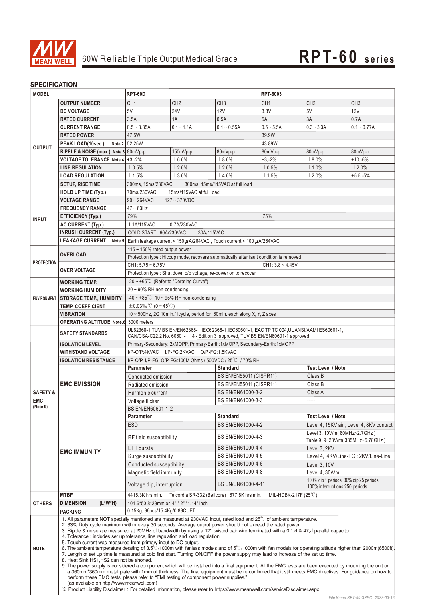

### **SPECIFICATION**

| <b>OUTPUT NUMBER</b><br>CH <sub>1</sub><br>CH <sub>2</sub><br>CH <sub>3</sub><br>CH <sub>1</sub><br>CH <sub>2</sub><br>CH <sub>3</sub><br><b>DC VOLTAGE</b><br>5V<br><b>24V</b><br><b>12V</b><br>3.3V<br>5V<br>12V<br>3.5A<br>0.5A<br><b>RATED CURRENT</b><br>1A<br>5A<br>3A<br>0.7A<br>$0.5 - 3.85A$<br>$0.1 - 1.1A$<br>$0.1 - 0.55A$<br>$0.5 - 5.5A$<br>$0.3 - 3.3A$<br><b>CURRENT RANGE</b><br>47.5W<br><b>RATED POWER</b><br>39.9W<br>Note.2 52.25W<br>PEAK LOAD(10sec.)<br>43.89W<br><b>OUTPUT</b><br>RIPPLE & NOISE (max.) Note.3 80mVp-p<br>150mVp-p<br>80mVp-p<br>80mVp-p<br>80mVp-p<br>80mVp-p<br>VOLTAGE TOLERANCE Note.4   +3,-2%<br>±6.0%<br>±8.0%<br>±8.0%<br>$+10,-6%$<br>$+3,-2%$<br>±2.0%<br>±2.0%<br>±1.0%<br>±2.0%<br><b>LINE REGULATION</b><br>±0.5%<br>±0.5%<br><b>LOAD REGULATION</b><br>±1.5%<br>±3.0%<br>±4.0%<br>±1.5%<br>±2.0%<br>$+5.5,-5%$<br><b>SETUP, RISE TIME</b><br>300ms. 15ms/230VAC<br>300ms, 15ms/115VAC at full load<br>70ms/230VAC<br>15ms/115VAC at full load<br><b>HOLD UP TIME (Typ.)</b><br><b>VOLTAGE RANGE</b><br>$90 \sim 264$ VAC<br>$127 - 370VDC$<br><b>FREQUENCY RANGE</b><br>$47 \sim 63$ Hz<br>79%<br>75%<br>EFFICIENCY (Typ.)<br><b>INPUT</b><br>0.7A/230VAC<br><b>AC CURRENT (Typ.)</b><br>1.1A/115VAC<br><b>INRUSH CURRENT (Typ.)</b><br>COLD START 60A/230VAC<br>30A/115VAC<br><b>LEAKAGE CURRENT</b><br>Earth leakage current < 150 $\mu$ A/264VAC, Touch current < 100 $\mu$ A/264VAC<br>Note.5<br>115 $\sim$ 150% rated output power<br><b>OVERLOAD</b><br>Protection type : Hiccup mode, recovers automatically after fault condition is removed<br><b>PROTECTION</b><br>$CH1: 5.75 - 6.75V$<br>$CH1: 3.8 - 4.45V$<br><b>OVER VOLTAGE</b><br>Protection type : Shut down o/p voltage, re-power on to recover<br>$-20 \sim +65^{\circ}$ C (Refer to "Derating Curve")<br><b>WORKING TEMP.</b><br>$20 \sim 90\%$ RH non-condensing<br><b>WORKING HUMIDITY</b><br>$-40 \sim +85^{\circ}$ C, 10 ~ 95% RH non-condensing<br><b>STORAGE TEMP., HUMIDITY</b><br><b>ENVIRONMENT</b><br>$\pm$ 0.03%/°C (0~45°C)<br><b>TEMP. COEFFICIENT</b><br><b>VIBRATION</b><br>10 ~ 500Hz, 2G 10min./1cycle, period for 60min. each along X, Y, Z axes<br><b>OPERATING ALTITUDE Note.6</b> 3000 meters<br>UL62368-1, TUV BS EN/EN62368-1, IEC62368-1, IEC60601-1, EAC TP TC 004, UL ANSI/AAMI ES60601-1,<br><b>SAFETY STANDARDS</b><br>CAN/CSA-C22.2 No. 60601-1:14 - Edition 3 approved, TUV BS EN/EN60601-1 approved<br>Primary-Secondary: 2xMOPP, Primary-Earth:1xMOPP, Secondary-Earth:1xMOPP<br><b>ISOLATION LEVEL</b><br>I/P-O/P:4KVAC I/P-FG:2KVAC O/P-FG:1.5KVAC<br><b>WITHSTAND VOLTAGE</b><br>I/P-O/P, I/P-FG, O/P-FG:100M Ohms / 500VDC / 25°C / 70% RH<br><b>ISOLATION RESISTANCE</b><br><b>Test Level / Note</b><br><b>Parameter</b><br><b>Standard</b><br>BS EN/EN55011 (CISPR11)<br>Class B<br>Conducted emission<br><b>EMC EMISSION</b><br>BS EN/EN55011 (CISPR11)<br>Class B<br>Radiated emission<br>BS EN/EN61000-3-2<br><b>SAFETY &amp;</b><br>Class A<br>Harmonic current<br>BS EN/EN61000-3-3<br>-----<br><b>EMC</b><br>Voltage flicker<br>(Note 9)<br><b>BS EN/EN60601-1-2</b><br><b>Standard</b><br><b>Test Level / Note</b><br>Parameter<br><b>ESD</b><br>BS EN/EN61000-4-2<br>Level 3, 10V/m(80MHz~2.7GHz)<br>BS EN/EN61000-4-3<br>RF field susceptibility<br>Table 9, 9~28V/m(385MHz~5.78GHz)<br>BS EN/EN61000-4-4<br><b>EFT</b> bursts<br>Level 3, 2KV<br><b>EMC IMMUNITY</b><br>BS EN/EN61000-4-5<br>Level 4, 4KV/Line-FG; 2KV/Line-Line<br>Surge susceptibility<br>BS EN/EN61000-4-6<br>Conducted susceptibility<br>Level 3, 10V<br>BS EN/EN61000-4-8<br>Magnetic field immunity<br>Level 4, 30A/m | <b>MODEL</b> |  | RPT-60D                   |  |                    | RPT-6003 |                                                                           |               |  |  |  |  |
|-----------------------------------------------------------------------------------------------------------------------------------------------------------------------------------------------------------------------------------------------------------------------------------------------------------------------------------------------------------------------------------------------------------------------------------------------------------------------------------------------------------------------------------------------------------------------------------------------------------------------------------------------------------------------------------------------------------------------------------------------------------------------------------------------------------------------------------------------------------------------------------------------------------------------------------------------------------------------------------------------------------------------------------------------------------------------------------------------------------------------------------------------------------------------------------------------------------------------------------------------------------------------------------------------------------------------------------------------------------------------------------------------------------------------------------------------------------------------------------------------------------------------------------------------------------------------------------------------------------------------------------------------------------------------------------------------------------------------------------------------------------------------------------------------------------------------------------------------------------------------------------------------------------------------------------------------------------------------------------------------------------------------------------------------------------------------------------------------------------------------------------------------------------------------------------------------------------------------------------------------------------------------------------------------------------------------------------------------------------------------------------------------------------------------------------------------------------------------------------------------------------------------------------------------------------------------------------------------------------------------------------------------------------------------------------------------------------------------------------------------------------------------------------------------------------------------------------------------------------------------------------------------------------------------------------------------------------------------------------------------------------------------------------------------------------------------------------------------------------------------------------------------------------------------------------------------------------------------------------------------------------------------------------------------------------------------------------------------------------------------------------------------------------------------------------------------------------------------------------------------------------------------------------------------------------------------------------------------------------------------------------------------------------------------|--------------|--|---------------------------|--|--------------------|----------|---------------------------------------------------------------------------|---------------|--|--|--|--|
|                                                                                                                                                                                                                                                                                                                                                                                                                                                                                                                                                                                                                                                                                                                                                                                                                                                                                                                                                                                                                                                                                                                                                                                                                                                                                                                                                                                                                                                                                                                                                                                                                                                                                                                                                                                                                                                                                                                                                                                                                                                                                                                                                                                                                                                                                                                                                                                                                                                                                                                                                                                                                                                                                                                                                                                                                                                                                                                                                                                                                                                                                                                                                                                                                                                                                                                                                                                                                                                                                                                                                                                                                                                                       |              |  |                           |  |                    |          |                                                                           |               |  |  |  |  |
|                                                                                                                                                                                                                                                                                                                                                                                                                                                                                                                                                                                                                                                                                                                                                                                                                                                                                                                                                                                                                                                                                                                                                                                                                                                                                                                                                                                                                                                                                                                                                                                                                                                                                                                                                                                                                                                                                                                                                                                                                                                                                                                                                                                                                                                                                                                                                                                                                                                                                                                                                                                                                                                                                                                                                                                                                                                                                                                                                                                                                                                                                                                                                                                                                                                                                                                                                                                                                                                                                                                                                                                                                                                                       |              |  |                           |  |                    |          |                                                                           |               |  |  |  |  |
|                                                                                                                                                                                                                                                                                                                                                                                                                                                                                                                                                                                                                                                                                                                                                                                                                                                                                                                                                                                                                                                                                                                                                                                                                                                                                                                                                                                                                                                                                                                                                                                                                                                                                                                                                                                                                                                                                                                                                                                                                                                                                                                                                                                                                                                                                                                                                                                                                                                                                                                                                                                                                                                                                                                                                                                                                                                                                                                                                                                                                                                                                                                                                                                                                                                                                                                                                                                                                                                                                                                                                                                                                                                                       |              |  |                           |  |                    |          |                                                                           |               |  |  |  |  |
|                                                                                                                                                                                                                                                                                                                                                                                                                                                                                                                                                                                                                                                                                                                                                                                                                                                                                                                                                                                                                                                                                                                                                                                                                                                                                                                                                                                                                                                                                                                                                                                                                                                                                                                                                                                                                                                                                                                                                                                                                                                                                                                                                                                                                                                                                                                                                                                                                                                                                                                                                                                                                                                                                                                                                                                                                                                                                                                                                                                                                                                                                                                                                                                                                                                                                                                                                                                                                                                                                                                                                                                                                                                                       |              |  |                           |  |                    |          |                                                                           | $0.1 - 0.77A$ |  |  |  |  |
|                                                                                                                                                                                                                                                                                                                                                                                                                                                                                                                                                                                                                                                                                                                                                                                                                                                                                                                                                                                                                                                                                                                                                                                                                                                                                                                                                                                                                                                                                                                                                                                                                                                                                                                                                                                                                                                                                                                                                                                                                                                                                                                                                                                                                                                                                                                                                                                                                                                                                                                                                                                                                                                                                                                                                                                                                                                                                                                                                                                                                                                                                                                                                                                                                                                                                                                                                                                                                                                                                                                                                                                                                                                                       |              |  |                           |  |                    |          |                                                                           |               |  |  |  |  |
|                                                                                                                                                                                                                                                                                                                                                                                                                                                                                                                                                                                                                                                                                                                                                                                                                                                                                                                                                                                                                                                                                                                                                                                                                                                                                                                                                                                                                                                                                                                                                                                                                                                                                                                                                                                                                                                                                                                                                                                                                                                                                                                                                                                                                                                                                                                                                                                                                                                                                                                                                                                                                                                                                                                                                                                                                                                                                                                                                                                                                                                                                                                                                                                                                                                                                                                                                                                                                                                                                                                                                                                                                                                                       |              |  |                           |  |                    |          |                                                                           |               |  |  |  |  |
|                                                                                                                                                                                                                                                                                                                                                                                                                                                                                                                                                                                                                                                                                                                                                                                                                                                                                                                                                                                                                                                                                                                                                                                                                                                                                                                                                                                                                                                                                                                                                                                                                                                                                                                                                                                                                                                                                                                                                                                                                                                                                                                                                                                                                                                                                                                                                                                                                                                                                                                                                                                                                                                                                                                                                                                                                                                                                                                                                                                                                                                                                                                                                                                                                                                                                                                                                                                                                                                                                                                                                                                                                                                                       |              |  |                           |  |                    |          |                                                                           |               |  |  |  |  |
|                                                                                                                                                                                                                                                                                                                                                                                                                                                                                                                                                                                                                                                                                                                                                                                                                                                                                                                                                                                                                                                                                                                                                                                                                                                                                                                                                                                                                                                                                                                                                                                                                                                                                                                                                                                                                                                                                                                                                                                                                                                                                                                                                                                                                                                                                                                                                                                                                                                                                                                                                                                                                                                                                                                                                                                                                                                                                                                                                                                                                                                                                                                                                                                                                                                                                                                                                                                                                                                                                                                                                                                                                                                                       |              |  |                           |  |                    |          |                                                                           |               |  |  |  |  |
|                                                                                                                                                                                                                                                                                                                                                                                                                                                                                                                                                                                                                                                                                                                                                                                                                                                                                                                                                                                                                                                                                                                                                                                                                                                                                                                                                                                                                                                                                                                                                                                                                                                                                                                                                                                                                                                                                                                                                                                                                                                                                                                                                                                                                                                                                                                                                                                                                                                                                                                                                                                                                                                                                                                                                                                                                                                                                                                                                                                                                                                                                                                                                                                                                                                                                                                                                                                                                                                                                                                                                                                                                                                                       |              |  |                           |  |                    |          |                                                                           |               |  |  |  |  |
|                                                                                                                                                                                                                                                                                                                                                                                                                                                                                                                                                                                                                                                                                                                                                                                                                                                                                                                                                                                                                                                                                                                                                                                                                                                                                                                                                                                                                                                                                                                                                                                                                                                                                                                                                                                                                                                                                                                                                                                                                                                                                                                                                                                                                                                                                                                                                                                                                                                                                                                                                                                                                                                                                                                                                                                                                                                                                                                                                                                                                                                                                                                                                                                                                                                                                                                                                                                                                                                                                                                                                                                                                                                                       |              |  |                           |  |                    |          |                                                                           |               |  |  |  |  |
|                                                                                                                                                                                                                                                                                                                                                                                                                                                                                                                                                                                                                                                                                                                                                                                                                                                                                                                                                                                                                                                                                                                                                                                                                                                                                                                                                                                                                                                                                                                                                                                                                                                                                                                                                                                                                                                                                                                                                                                                                                                                                                                                                                                                                                                                                                                                                                                                                                                                                                                                                                                                                                                                                                                                                                                                                                                                                                                                                                                                                                                                                                                                                                                                                                                                                                                                                                                                                                                                                                                                                                                                                                                                       |              |  |                           |  |                    |          |                                                                           |               |  |  |  |  |
|                                                                                                                                                                                                                                                                                                                                                                                                                                                                                                                                                                                                                                                                                                                                                                                                                                                                                                                                                                                                                                                                                                                                                                                                                                                                                                                                                                                                                                                                                                                                                                                                                                                                                                                                                                                                                                                                                                                                                                                                                                                                                                                                                                                                                                                                                                                                                                                                                                                                                                                                                                                                                                                                                                                                                                                                                                                                                                                                                                                                                                                                                                                                                                                                                                                                                                                                                                                                                                                                                                                                                                                                                                                                       |              |  |                           |  |                    |          |                                                                           |               |  |  |  |  |
|                                                                                                                                                                                                                                                                                                                                                                                                                                                                                                                                                                                                                                                                                                                                                                                                                                                                                                                                                                                                                                                                                                                                                                                                                                                                                                                                                                                                                                                                                                                                                                                                                                                                                                                                                                                                                                                                                                                                                                                                                                                                                                                                                                                                                                                                                                                                                                                                                                                                                                                                                                                                                                                                                                                                                                                                                                                                                                                                                                                                                                                                                                                                                                                                                                                                                                                                                                                                                                                                                                                                                                                                                                                                       |              |  |                           |  |                    |          |                                                                           |               |  |  |  |  |
|                                                                                                                                                                                                                                                                                                                                                                                                                                                                                                                                                                                                                                                                                                                                                                                                                                                                                                                                                                                                                                                                                                                                                                                                                                                                                                                                                                                                                                                                                                                                                                                                                                                                                                                                                                                                                                                                                                                                                                                                                                                                                                                                                                                                                                                                                                                                                                                                                                                                                                                                                                                                                                                                                                                                                                                                                                                                                                                                                                                                                                                                                                                                                                                                                                                                                                                                                                                                                                                                                                                                                                                                                                                                       |              |  |                           |  |                    |          |                                                                           |               |  |  |  |  |
|                                                                                                                                                                                                                                                                                                                                                                                                                                                                                                                                                                                                                                                                                                                                                                                                                                                                                                                                                                                                                                                                                                                                                                                                                                                                                                                                                                                                                                                                                                                                                                                                                                                                                                                                                                                                                                                                                                                                                                                                                                                                                                                                                                                                                                                                                                                                                                                                                                                                                                                                                                                                                                                                                                                                                                                                                                                                                                                                                                                                                                                                                                                                                                                                                                                                                                                                                                                                                                                                                                                                                                                                                                                                       |              |  |                           |  |                    |          |                                                                           |               |  |  |  |  |
|                                                                                                                                                                                                                                                                                                                                                                                                                                                                                                                                                                                                                                                                                                                                                                                                                                                                                                                                                                                                                                                                                                                                                                                                                                                                                                                                                                                                                                                                                                                                                                                                                                                                                                                                                                                                                                                                                                                                                                                                                                                                                                                                                                                                                                                                                                                                                                                                                                                                                                                                                                                                                                                                                                                                                                                                                                                                                                                                                                                                                                                                                                                                                                                                                                                                                                                                                                                                                                                                                                                                                                                                                                                                       |              |  |                           |  |                    |          |                                                                           |               |  |  |  |  |
|                                                                                                                                                                                                                                                                                                                                                                                                                                                                                                                                                                                                                                                                                                                                                                                                                                                                                                                                                                                                                                                                                                                                                                                                                                                                                                                                                                                                                                                                                                                                                                                                                                                                                                                                                                                                                                                                                                                                                                                                                                                                                                                                                                                                                                                                                                                                                                                                                                                                                                                                                                                                                                                                                                                                                                                                                                                                                                                                                                                                                                                                                                                                                                                                                                                                                                                                                                                                                                                                                                                                                                                                                                                                       |              |  |                           |  |                    |          |                                                                           |               |  |  |  |  |
|                                                                                                                                                                                                                                                                                                                                                                                                                                                                                                                                                                                                                                                                                                                                                                                                                                                                                                                                                                                                                                                                                                                                                                                                                                                                                                                                                                                                                                                                                                                                                                                                                                                                                                                                                                                                                                                                                                                                                                                                                                                                                                                                                                                                                                                                                                                                                                                                                                                                                                                                                                                                                                                                                                                                                                                                                                                                                                                                                                                                                                                                                                                                                                                                                                                                                                                                                                                                                                                                                                                                                                                                                                                                       |              |  |                           |  |                    |          |                                                                           |               |  |  |  |  |
|                                                                                                                                                                                                                                                                                                                                                                                                                                                                                                                                                                                                                                                                                                                                                                                                                                                                                                                                                                                                                                                                                                                                                                                                                                                                                                                                                                                                                                                                                                                                                                                                                                                                                                                                                                                                                                                                                                                                                                                                                                                                                                                                                                                                                                                                                                                                                                                                                                                                                                                                                                                                                                                                                                                                                                                                                                                                                                                                                                                                                                                                                                                                                                                                                                                                                                                                                                                                                                                                                                                                                                                                                                                                       |              |  |                           |  |                    |          |                                                                           |               |  |  |  |  |
|                                                                                                                                                                                                                                                                                                                                                                                                                                                                                                                                                                                                                                                                                                                                                                                                                                                                                                                                                                                                                                                                                                                                                                                                                                                                                                                                                                                                                                                                                                                                                                                                                                                                                                                                                                                                                                                                                                                                                                                                                                                                                                                                                                                                                                                                                                                                                                                                                                                                                                                                                                                                                                                                                                                                                                                                                                                                                                                                                                                                                                                                                                                                                                                                                                                                                                                                                                                                                                                                                                                                                                                                                                                                       |              |  |                           |  |                    |          |                                                                           |               |  |  |  |  |
|                                                                                                                                                                                                                                                                                                                                                                                                                                                                                                                                                                                                                                                                                                                                                                                                                                                                                                                                                                                                                                                                                                                                                                                                                                                                                                                                                                                                                                                                                                                                                                                                                                                                                                                                                                                                                                                                                                                                                                                                                                                                                                                                                                                                                                                                                                                                                                                                                                                                                                                                                                                                                                                                                                                                                                                                                                                                                                                                                                                                                                                                                                                                                                                                                                                                                                                                                                                                                                                                                                                                                                                                                                                                       |              |  |                           |  |                    |          |                                                                           |               |  |  |  |  |
|                                                                                                                                                                                                                                                                                                                                                                                                                                                                                                                                                                                                                                                                                                                                                                                                                                                                                                                                                                                                                                                                                                                                                                                                                                                                                                                                                                                                                                                                                                                                                                                                                                                                                                                                                                                                                                                                                                                                                                                                                                                                                                                                                                                                                                                                                                                                                                                                                                                                                                                                                                                                                                                                                                                                                                                                                                                                                                                                                                                                                                                                                                                                                                                                                                                                                                                                                                                                                                                                                                                                                                                                                                                                       |              |  |                           |  |                    |          |                                                                           |               |  |  |  |  |
|                                                                                                                                                                                                                                                                                                                                                                                                                                                                                                                                                                                                                                                                                                                                                                                                                                                                                                                                                                                                                                                                                                                                                                                                                                                                                                                                                                                                                                                                                                                                                                                                                                                                                                                                                                                                                                                                                                                                                                                                                                                                                                                                                                                                                                                                                                                                                                                                                                                                                                                                                                                                                                                                                                                                                                                                                                                                                                                                                                                                                                                                                                                                                                                                                                                                                                                                                                                                                                                                                                                                                                                                                                                                       |              |  |                           |  |                    |          |                                                                           |               |  |  |  |  |
|                                                                                                                                                                                                                                                                                                                                                                                                                                                                                                                                                                                                                                                                                                                                                                                                                                                                                                                                                                                                                                                                                                                                                                                                                                                                                                                                                                                                                                                                                                                                                                                                                                                                                                                                                                                                                                                                                                                                                                                                                                                                                                                                                                                                                                                                                                                                                                                                                                                                                                                                                                                                                                                                                                                                                                                                                                                                                                                                                                                                                                                                                                                                                                                                                                                                                                                                                                                                                                                                                                                                                                                                                                                                       |              |  |                           |  |                    |          |                                                                           |               |  |  |  |  |
|                                                                                                                                                                                                                                                                                                                                                                                                                                                                                                                                                                                                                                                                                                                                                                                                                                                                                                                                                                                                                                                                                                                                                                                                                                                                                                                                                                                                                                                                                                                                                                                                                                                                                                                                                                                                                                                                                                                                                                                                                                                                                                                                                                                                                                                                                                                                                                                                                                                                                                                                                                                                                                                                                                                                                                                                                                                                                                                                                                                                                                                                                                                                                                                                                                                                                                                                                                                                                                                                                                                                                                                                                                                                       |              |  |                           |  |                    |          |                                                                           |               |  |  |  |  |
|                                                                                                                                                                                                                                                                                                                                                                                                                                                                                                                                                                                                                                                                                                                                                                                                                                                                                                                                                                                                                                                                                                                                                                                                                                                                                                                                                                                                                                                                                                                                                                                                                                                                                                                                                                                                                                                                                                                                                                                                                                                                                                                                                                                                                                                                                                                                                                                                                                                                                                                                                                                                                                                                                                                                                                                                                                                                                                                                                                                                                                                                                                                                                                                                                                                                                                                                                                                                                                                                                                                                                                                                                                                                       |              |  |                           |  |                    |          |                                                                           |               |  |  |  |  |
|                                                                                                                                                                                                                                                                                                                                                                                                                                                                                                                                                                                                                                                                                                                                                                                                                                                                                                                                                                                                                                                                                                                                                                                                                                                                                                                                                                                                                                                                                                                                                                                                                                                                                                                                                                                                                                                                                                                                                                                                                                                                                                                                                                                                                                                                                                                                                                                                                                                                                                                                                                                                                                                                                                                                                                                                                                                                                                                                                                                                                                                                                                                                                                                                                                                                                                                                                                                                                                                                                                                                                                                                                                                                       |              |  |                           |  |                    |          |                                                                           |               |  |  |  |  |
|                                                                                                                                                                                                                                                                                                                                                                                                                                                                                                                                                                                                                                                                                                                                                                                                                                                                                                                                                                                                                                                                                                                                                                                                                                                                                                                                                                                                                                                                                                                                                                                                                                                                                                                                                                                                                                                                                                                                                                                                                                                                                                                                                                                                                                                                                                                                                                                                                                                                                                                                                                                                                                                                                                                                                                                                                                                                                                                                                                                                                                                                                                                                                                                                                                                                                                                                                                                                                                                                                                                                                                                                                                                                       |              |  |                           |  |                    |          |                                                                           |               |  |  |  |  |
|                                                                                                                                                                                                                                                                                                                                                                                                                                                                                                                                                                                                                                                                                                                                                                                                                                                                                                                                                                                                                                                                                                                                                                                                                                                                                                                                                                                                                                                                                                                                                                                                                                                                                                                                                                                                                                                                                                                                                                                                                                                                                                                                                                                                                                                                                                                                                                                                                                                                                                                                                                                                                                                                                                                                                                                                                                                                                                                                                                                                                                                                                                                                                                                                                                                                                                                                                                                                                                                                                                                                                                                                                                                                       |              |  |                           |  |                    |          |                                                                           |               |  |  |  |  |
|                                                                                                                                                                                                                                                                                                                                                                                                                                                                                                                                                                                                                                                                                                                                                                                                                                                                                                                                                                                                                                                                                                                                                                                                                                                                                                                                                                                                                                                                                                                                                                                                                                                                                                                                                                                                                                                                                                                                                                                                                                                                                                                                                                                                                                                                                                                                                                                                                                                                                                                                                                                                                                                                                                                                                                                                                                                                                                                                                                                                                                                                                                                                                                                                                                                                                                                                                                                                                                                                                                                                                                                                                                                                       |              |  |                           |  |                    |          |                                                                           |               |  |  |  |  |
|                                                                                                                                                                                                                                                                                                                                                                                                                                                                                                                                                                                                                                                                                                                                                                                                                                                                                                                                                                                                                                                                                                                                                                                                                                                                                                                                                                                                                                                                                                                                                                                                                                                                                                                                                                                                                                                                                                                                                                                                                                                                                                                                                                                                                                                                                                                                                                                                                                                                                                                                                                                                                                                                                                                                                                                                                                                                                                                                                                                                                                                                                                                                                                                                                                                                                                                                                                                                                                                                                                                                                                                                                                                                       |              |  |                           |  |                    |          |                                                                           |               |  |  |  |  |
|                                                                                                                                                                                                                                                                                                                                                                                                                                                                                                                                                                                                                                                                                                                                                                                                                                                                                                                                                                                                                                                                                                                                                                                                                                                                                                                                                                                                                                                                                                                                                                                                                                                                                                                                                                                                                                                                                                                                                                                                                                                                                                                                                                                                                                                                                                                                                                                                                                                                                                                                                                                                                                                                                                                                                                                                                                                                                                                                                                                                                                                                                                                                                                                                                                                                                                                                                                                                                                                                                                                                                                                                                                                                       |              |  |                           |  |                    |          |                                                                           |               |  |  |  |  |
|                                                                                                                                                                                                                                                                                                                                                                                                                                                                                                                                                                                                                                                                                                                                                                                                                                                                                                                                                                                                                                                                                                                                                                                                                                                                                                                                                                                                                                                                                                                                                                                                                                                                                                                                                                                                                                                                                                                                                                                                                                                                                                                                                                                                                                                                                                                                                                                                                                                                                                                                                                                                                                                                                                                                                                                                                                                                                                                                                                                                                                                                                                                                                                                                                                                                                                                                                                                                                                                                                                                                                                                                                                                                       |              |  |                           |  |                    |          |                                                                           |               |  |  |  |  |
|                                                                                                                                                                                                                                                                                                                                                                                                                                                                                                                                                                                                                                                                                                                                                                                                                                                                                                                                                                                                                                                                                                                                                                                                                                                                                                                                                                                                                                                                                                                                                                                                                                                                                                                                                                                                                                                                                                                                                                                                                                                                                                                                                                                                                                                                                                                                                                                                                                                                                                                                                                                                                                                                                                                                                                                                                                                                                                                                                                                                                                                                                                                                                                                                                                                                                                                                                                                                                                                                                                                                                                                                                                                                       |              |  |                           |  |                    |          |                                                                           |               |  |  |  |  |
|                                                                                                                                                                                                                                                                                                                                                                                                                                                                                                                                                                                                                                                                                                                                                                                                                                                                                                                                                                                                                                                                                                                                                                                                                                                                                                                                                                                                                                                                                                                                                                                                                                                                                                                                                                                                                                                                                                                                                                                                                                                                                                                                                                                                                                                                                                                                                                                                                                                                                                                                                                                                                                                                                                                                                                                                                                                                                                                                                                                                                                                                                                                                                                                                                                                                                                                                                                                                                                                                                                                                                                                                                                                                       |              |  |                           |  |                    |          |                                                                           |               |  |  |  |  |
|                                                                                                                                                                                                                                                                                                                                                                                                                                                                                                                                                                                                                                                                                                                                                                                                                                                                                                                                                                                                                                                                                                                                                                                                                                                                                                                                                                                                                                                                                                                                                                                                                                                                                                                                                                                                                                                                                                                                                                                                                                                                                                                                                                                                                                                                                                                                                                                                                                                                                                                                                                                                                                                                                                                                                                                                                                                                                                                                                                                                                                                                                                                                                                                                                                                                                                                                                                                                                                                                                                                                                                                                                                                                       |              |  |                           |  |                    |          |                                                                           |               |  |  |  |  |
|                                                                                                                                                                                                                                                                                                                                                                                                                                                                                                                                                                                                                                                                                                                                                                                                                                                                                                                                                                                                                                                                                                                                                                                                                                                                                                                                                                                                                                                                                                                                                                                                                                                                                                                                                                                                                                                                                                                                                                                                                                                                                                                                                                                                                                                                                                                                                                                                                                                                                                                                                                                                                                                                                                                                                                                                                                                                                                                                                                                                                                                                                                                                                                                                                                                                                                                                                                                                                                                                                                                                                                                                                                                                       |              |  |                           |  |                    |          |                                                                           |               |  |  |  |  |
|                                                                                                                                                                                                                                                                                                                                                                                                                                                                                                                                                                                                                                                                                                                                                                                                                                                                                                                                                                                                                                                                                                                                                                                                                                                                                                                                                                                                                                                                                                                                                                                                                                                                                                                                                                                                                                                                                                                                                                                                                                                                                                                                                                                                                                                                                                                                                                                                                                                                                                                                                                                                                                                                                                                                                                                                                                                                                                                                                                                                                                                                                                                                                                                                                                                                                                                                                                                                                                                                                                                                                                                                                                                                       |              |  |                           |  |                    |          |                                                                           |               |  |  |  |  |
|                                                                                                                                                                                                                                                                                                                                                                                                                                                                                                                                                                                                                                                                                                                                                                                                                                                                                                                                                                                                                                                                                                                                                                                                                                                                                                                                                                                                                                                                                                                                                                                                                                                                                                                                                                                                                                                                                                                                                                                                                                                                                                                                                                                                                                                                                                                                                                                                                                                                                                                                                                                                                                                                                                                                                                                                                                                                                                                                                                                                                                                                                                                                                                                                                                                                                                                                                                                                                                                                                                                                                                                                                                                                       |              |  |                           |  |                    |          |                                                                           |               |  |  |  |  |
|                                                                                                                                                                                                                                                                                                                                                                                                                                                                                                                                                                                                                                                                                                                                                                                                                                                                                                                                                                                                                                                                                                                                                                                                                                                                                                                                                                                                                                                                                                                                                                                                                                                                                                                                                                                                                                                                                                                                                                                                                                                                                                                                                                                                                                                                                                                                                                                                                                                                                                                                                                                                                                                                                                                                                                                                                                                                                                                                                                                                                                                                                                                                                                                                                                                                                                                                                                                                                                                                                                                                                                                                                                                                       |              |  |                           |  |                    |          | Level 4, 15KV air ; Level 4, 8KV contact                                  |               |  |  |  |  |
|                                                                                                                                                                                                                                                                                                                                                                                                                                                                                                                                                                                                                                                                                                                                                                                                                                                                                                                                                                                                                                                                                                                                                                                                                                                                                                                                                                                                                                                                                                                                                                                                                                                                                                                                                                                                                                                                                                                                                                                                                                                                                                                                                                                                                                                                                                                                                                                                                                                                                                                                                                                                                                                                                                                                                                                                                                                                                                                                                                                                                                                                                                                                                                                                                                                                                                                                                                                                                                                                                                                                                                                                                                                                       |              |  |                           |  |                    |          |                                                                           |               |  |  |  |  |
|                                                                                                                                                                                                                                                                                                                                                                                                                                                                                                                                                                                                                                                                                                                                                                                                                                                                                                                                                                                                                                                                                                                                                                                                                                                                                                                                                                                                                                                                                                                                                                                                                                                                                                                                                                                                                                                                                                                                                                                                                                                                                                                                                                                                                                                                                                                                                                                                                                                                                                                                                                                                                                                                                                                                                                                                                                                                                                                                                                                                                                                                                                                                                                                                                                                                                                                                                                                                                                                                                                                                                                                                                                                                       |              |  |                           |  |                    |          |                                                                           |               |  |  |  |  |
|                                                                                                                                                                                                                                                                                                                                                                                                                                                                                                                                                                                                                                                                                                                                                                                                                                                                                                                                                                                                                                                                                                                                                                                                                                                                                                                                                                                                                                                                                                                                                                                                                                                                                                                                                                                                                                                                                                                                                                                                                                                                                                                                                                                                                                                                                                                                                                                                                                                                                                                                                                                                                                                                                                                                                                                                                                                                                                                                                                                                                                                                                                                                                                                                                                                                                                                                                                                                                                                                                                                                                                                                                                                                       |              |  |                           |  |                    |          |                                                                           |               |  |  |  |  |
|                                                                                                                                                                                                                                                                                                                                                                                                                                                                                                                                                                                                                                                                                                                                                                                                                                                                                                                                                                                                                                                                                                                                                                                                                                                                                                                                                                                                                                                                                                                                                                                                                                                                                                                                                                                                                                                                                                                                                                                                                                                                                                                                                                                                                                                                                                                                                                                                                                                                                                                                                                                                                                                                                                                                                                                                                                                                                                                                                                                                                                                                                                                                                                                                                                                                                                                                                                                                                                                                                                                                                                                                                                                                       |              |  |                           |  |                    |          |                                                                           |               |  |  |  |  |
|                                                                                                                                                                                                                                                                                                                                                                                                                                                                                                                                                                                                                                                                                                                                                                                                                                                                                                                                                                                                                                                                                                                                                                                                                                                                                                                                                                                                                                                                                                                                                                                                                                                                                                                                                                                                                                                                                                                                                                                                                                                                                                                                                                                                                                                                                                                                                                                                                                                                                                                                                                                                                                                                                                                                                                                                                                                                                                                                                                                                                                                                                                                                                                                                                                                                                                                                                                                                                                                                                                                                                                                                                                                                       |              |  |                           |  |                    |          |                                                                           |               |  |  |  |  |
|                                                                                                                                                                                                                                                                                                                                                                                                                                                                                                                                                                                                                                                                                                                                                                                                                                                                                                                                                                                                                                                                                                                                                                                                                                                                                                                                                                                                                                                                                                                                                                                                                                                                                                                                                                                                                                                                                                                                                                                                                                                                                                                                                                                                                                                                                                                                                                                                                                                                                                                                                                                                                                                                                                                                                                                                                                                                                                                                                                                                                                                                                                                                                                                                                                                                                                                                                                                                                                                                                                                                                                                                                                                                       |              |  | Voltage dip, interruption |  | BS EN/EN61000-4-11 |          | 100% dip 1 periods, 30% dip 25 periods,<br>100% interruptions 250 periods |               |  |  |  |  |
| <b>MTBF</b><br>4415.3K hrs min.<br>Telcordia SR-332 (Bellcore); 677.8K hrs min.<br>MIL-HDBK-217F $(25^{\circ}C)$                                                                                                                                                                                                                                                                                                                                                                                                                                                                                                                                                                                                                                                                                                                                                                                                                                                                                                                                                                                                                                                                                                                                                                                                                                                                                                                                                                                                                                                                                                                                                                                                                                                                                                                                                                                                                                                                                                                                                                                                                                                                                                                                                                                                                                                                                                                                                                                                                                                                                                                                                                                                                                                                                                                                                                                                                                                                                                                                                                                                                                                                                                                                                                                                                                                                                                                                                                                                                                                                                                                                                      |              |  |                           |  |                    |          |                                                                           |               |  |  |  |  |
| <b>OTHERS</b><br><b>DIMENSION</b><br>$(L^*W^*H)$<br>101.6*50.8*29mm or 4" * 2" *1.14" inch                                                                                                                                                                                                                                                                                                                                                                                                                                                                                                                                                                                                                                                                                                                                                                                                                                                                                                                                                                                                                                                                                                                                                                                                                                                                                                                                                                                                                                                                                                                                                                                                                                                                                                                                                                                                                                                                                                                                                                                                                                                                                                                                                                                                                                                                                                                                                                                                                                                                                                                                                                                                                                                                                                                                                                                                                                                                                                                                                                                                                                                                                                                                                                                                                                                                                                                                                                                                                                                                                                                                                                            |              |  |                           |  |                    |          |                                                                           |               |  |  |  |  |
| 0.15Kg; 96pcs/15.4Kg/0.89CUFT<br><b>PACKING</b>                                                                                                                                                                                                                                                                                                                                                                                                                                                                                                                                                                                                                                                                                                                                                                                                                                                                                                                                                                                                                                                                                                                                                                                                                                                                                                                                                                                                                                                                                                                                                                                                                                                                                                                                                                                                                                                                                                                                                                                                                                                                                                                                                                                                                                                                                                                                                                                                                                                                                                                                                                                                                                                                                                                                                                                                                                                                                                                                                                                                                                                                                                                                                                                                                                                                                                                                                                                                                                                                                                                                                                                                                       |              |  |                           |  |                    |          |                                                                           |               |  |  |  |  |
| 1. All parameters NOT specially mentioned are measured at 230VAC input, rated load and $25^{\circ}$ of ambient temperature.<br>2. 33% Duty cycle maximum within every 30 seconds. Average output power should not exceed the rated power.<br>3. Ripple & noise are measured at 20MHz of bandwidth by using a 12" twisted pair-wire terminated with a 0.1 $\mu$ f & 47 $\mu$ f parallel capacitor.<br>4. Tolerance: includes set up tolerance, line regulation and load regulation.<br>5. Touch current was measured from primary input to DC output.<br>6. The ambient temperature derating of $3.5^{\circ}$ C/1000m with fanless models and of $5^{\circ}$ C/1000m with fan models for operating altitude higher than 2000m(6500ft).<br><b>NOTE</b><br>7. Length of set up time is measured at cold first start. Turning ON/OFF the power supply may lead to increase of the set up time.<br>8. Heat Sink HS1, HS2 can not be shorted.<br>9. The power supply is considered a component which will be installed into a final equipment. All the EMC tests are been executed by mounting the unit on<br>a 360mm*360mm metal plate with 1mm of thickness. The final equipment must be re-confirmed that it still meets EMC directives. For guidance on how to<br>perform these EMC tests, please refer to "EMI testing of component power supplies."<br>(as available on http://www.meanwell.com)<br>X Product Liability Disclaimer: For detailed information, please refer to https://www.meanwell.com/serviceDisclaimer.aspx                                                                                                                                                                                                                                                                                                                                                                                                                                                                                                                                                                                                                                                                                                                                                                                                                                                                                                                                                                                                                                                                                                                                                                                                                                                                                                                                                                                                                                                                                                                                                                                                                                                                                                                                                                                                                                                                                                                                                                                                                                                                                                                                         |              |  |                           |  |                    |          |                                                                           |               |  |  |  |  |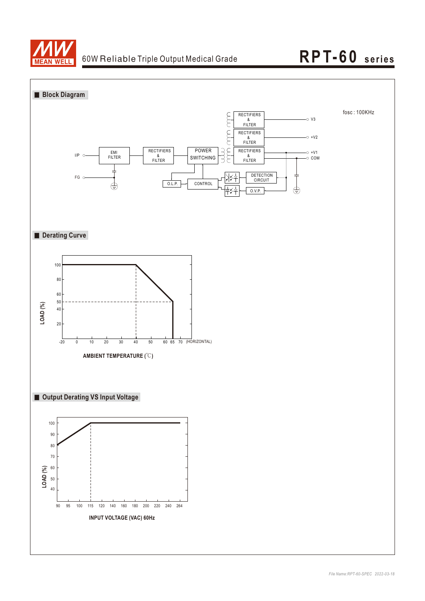

## **RPT-60 seri es**